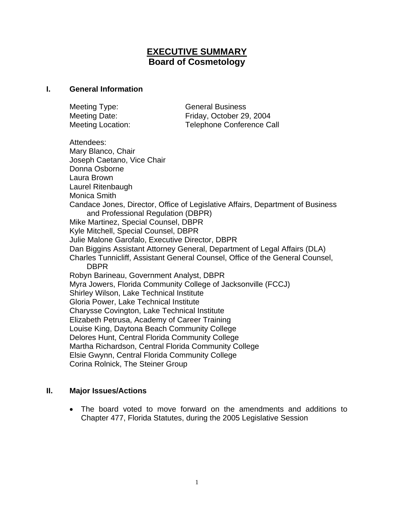# **EXECUTIVE SUMMARY Board of Cosmetology**

#### **I. General Information**

Meeting Type: General Business Meeting Date: Friday, October 29, 2004 Meeting Location: Telephone Conference Call Attendees: Mary Blanco, Chair Joseph Caetano, Vice Chair Donna Osborne Laura Brown Laurel Ritenbaugh Monica Smith Candace Jones, Director, Office of Legislative Affairs, Department of Business and Professional Regulation (DBPR) Mike Martinez, Special Counsel, DBPR Kyle Mitchell, Special Counsel, DBPR Julie Malone Garofalo, Executive Director, DBPR Dan Biggins Assistant Attorney General, Department of Legal Affairs (DLA) Charles Tunnicliff, Assistant General Counsel, Office of the General Counsel, **DBPR**  Robyn Barineau, Government Analyst, DBPR Myra Jowers, Florida Community College of Jacksonville (FCCJ) Shirley Wilson, Lake Technical Institute Gloria Power, Lake Technical Institute Charysse Covington, Lake Technical Institute Elizabeth Petrusa, Academy of Career Training Louise King, Daytona Beach Community College Delores Hunt, Central Florida Community College Martha Richardson, Central Florida Community College Elsie Gwynn, Central Florida Community College Corina Rolnick, The Steiner Group

### **II. Major Issues/Actions**

• The board voted to move forward on the amendments and additions to Chapter 477, Florida Statutes, during the 2005 Legislative Session